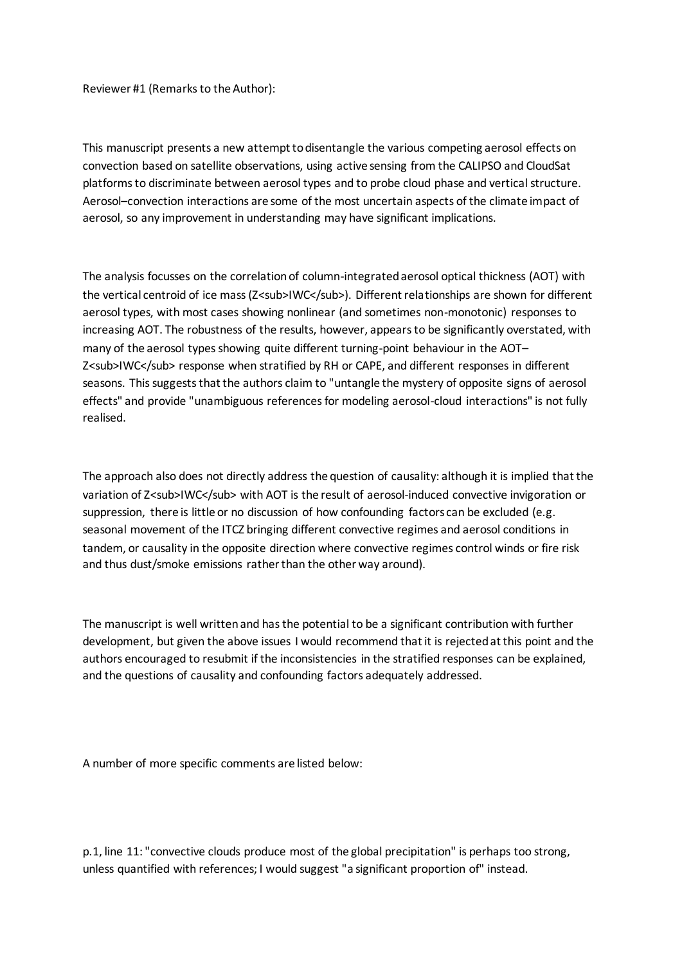Reviewer #1 (Remarks to the Author):

This manuscript presents a new attempt to disentangle the various competing aerosol effects on convection based on satellite observations, using active sensing from the CALIPSO and CloudSat platforms to discriminate between aerosol types and to probe cloud phase and vertical structure. Aerosol–convection interactions are some of the most uncertain aspects of the climate impact of aerosol, so any improvement in understanding may have significant implications.

The analysis focusses on the correlation of column-integrated aerosol optical thickness (AOT) with the vertical centroid of ice mass (Z<sub>IWC</sub>). Different relationships are shown for different aerosol types, with most cases showing nonlinear (and sometimes non-monotonic) responses to increasing AOT. The robustness of the results, however, appears to be significantly overstated, with many of the aerosol types showing quite different turning-point behaviour in the AOT– Z<sub>IWC</sub> response when stratified by RH or CAPE, and different responses in different seasons. This suggests that the authors claim to "untangle the mystery of opposite signs of aerosol effects" and provide "unambiguous references for modeling aerosol-cloud interactions" is not fully realised.

The approach also does not directly address the question of causality: although it is implied that the variation of Z<sub>IWC</sub> with AOT is the result of aerosol-induced convective invigoration or suppression, there is little or no discussion of how confounding factors can be excluded (e.g. seasonal movement of the ITCZ bringing different convective regimes and aerosol conditions in tandem, or causality in the opposite direction where convective regimes control winds or fire risk and thus dust/smoke emissions rather than the other way around).

The manuscript is well written and has the potential to be a significant contribution with further development, but given the above issues I would recommend that it is rejected at this point and the authors encouraged to resubmit if the inconsistencies in the stratified responses can be explained, and the questions of causality and confounding factors adequately addressed.

A number of more specific comments are listed below:

p.1, line 11: "convective clouds produce most of the global precipitation" is perhaps too strong, unless quantified with references; I would suggest "a significant proportion of" instead.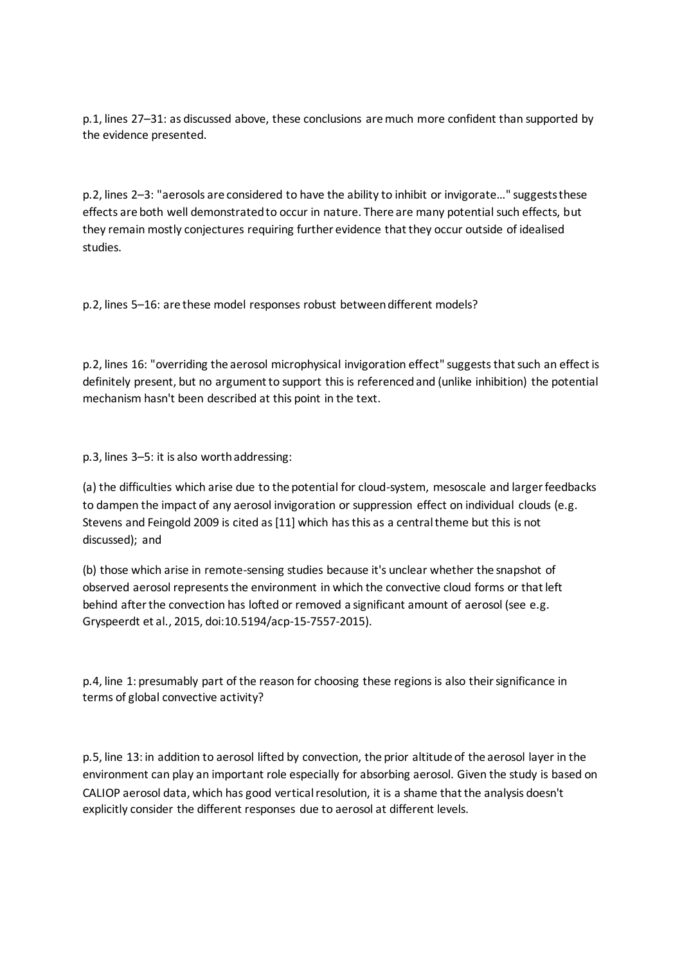p.1, lines 27–31: as discussed above, these conclusions are much more confident than supported by the evidence presented.

p.2, lines 2–3: "aerosols are considered to have the ability to inhibit or invigorate…" suggests these effects are both well demonstrated to occur in nature. There are many potential such effects, but they remain mostly conjectures requiring further evidence that they occur outside of idealised studies.

p.2, lines 5–16: are these model responses robust between different models?

p.2, lines 16: "overriding the aerosol microphysical invigoration effect" suggests that such an effect is definitely present, but no argument to support this is referenced and (unlike inhibition) the potential mechanism hasn't been described at this point in the text.

p.3, lines 3–5: it is also worth addressing:

(a) the difficulties which arise due to the potential for cloud-system, mesoscale and larger feedbacks to dampen the impact of any aerosol invigoration or suppression effect on individual clouds (e.g. Stevens and Feingold 2009 is cited as [11] which has this as a central theme but this is not discussed); and

(b) those which arise in remote-sensing studies because it's unclear whether the snapshot of observed aerosol represents the environment in which the convective cloud forms or that left behind after the convection has lofted or removed a significant amount of aerosol (see e.g. Gryspeerdt et al., 2015, doi:10.5194/acp-15-7557-2015).

p.4, line 1: presumably part of the reason for choosing these regions is also their significance in terms of global convective activity?

p.5, line 13: in addition to aerosol lifted by convection, the prior altitude of the aerosol layer in the environment can play an important role especially for absorbing aerosol. Given the study is based on CALIOP aerosol data, which has good vertical resolution, it is a shame that the analysis doesn't explicitly consider the different responses due to aerosol at different levels.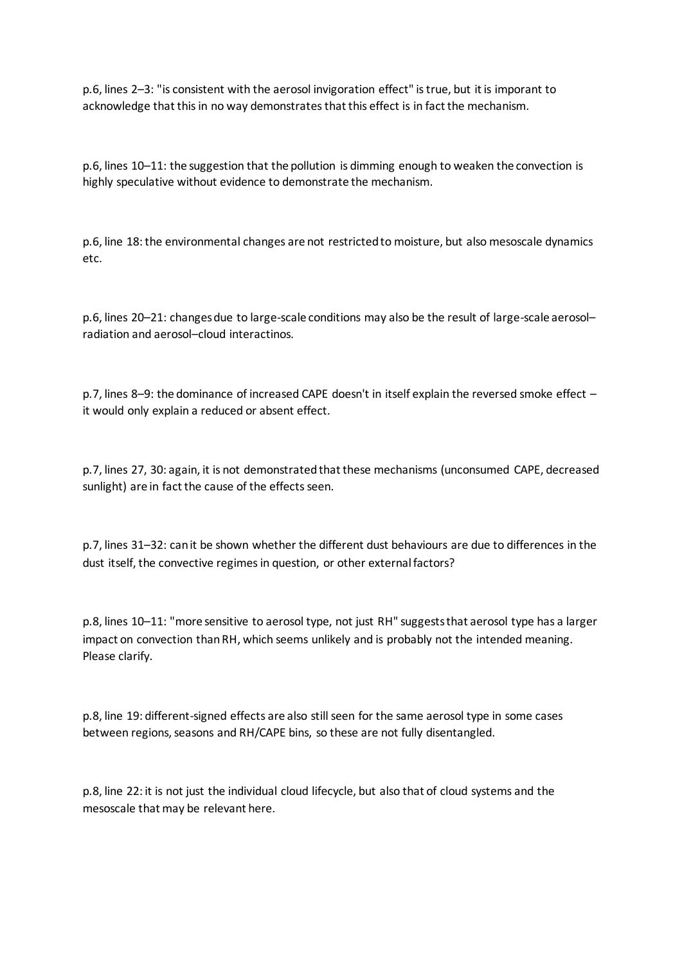p.6, lines 2–3: "is consistent with the aerosol invigoration effect" is true, but it is imporant to acknowledge that this in no way demonstrates that this effect is in fact the mechanism.

p.6, lines 10–11: the suggestion that the pollution is dimming enough to weaken the convection is highly speculative without evidence to demonstrate the mechanism.

p.6, line 18: the environmental changes are not restricted to moisture, but also mesoscale dynamics etc.

p.6, lines 20–21: changes due to large-scale conditions may also be the result of large-scale aerosol– radiation and aerosol–cloud interactinos.

p.7, lines 8–9: the dominance of increased CAPE doesn't in itself explain the reversed smoke effect – it would only explain a reduced or absent effect.

p.7, lines 27, 30: again, it is not demonstrated that these mechanisms (unconsumed CAPE, decreased sunlight) are in fact the cause of the effects seen.

p.7, lines 31–32: can it be shown whether the different dust behaviours are due to differences in the dust itself, the convective regimes in question, or other external factors?

p.8, lines 10–11: "more sensitive to aerosol type, not just RH" suggests that aerosol type has a larger impact on convection than RH, which seems unlikely and is probably not the intended meaning. Please clarify.

p.8, line 19: different-signed effects are also still seen for the same aerosol type in some cases between regions, seasons and RH/CAPE bins, so these are not fully disentangled.

p.8, line 22: it is not just the individual cloud lifecycle, but also that of cloud systems and the mesoscale that may be relevant here.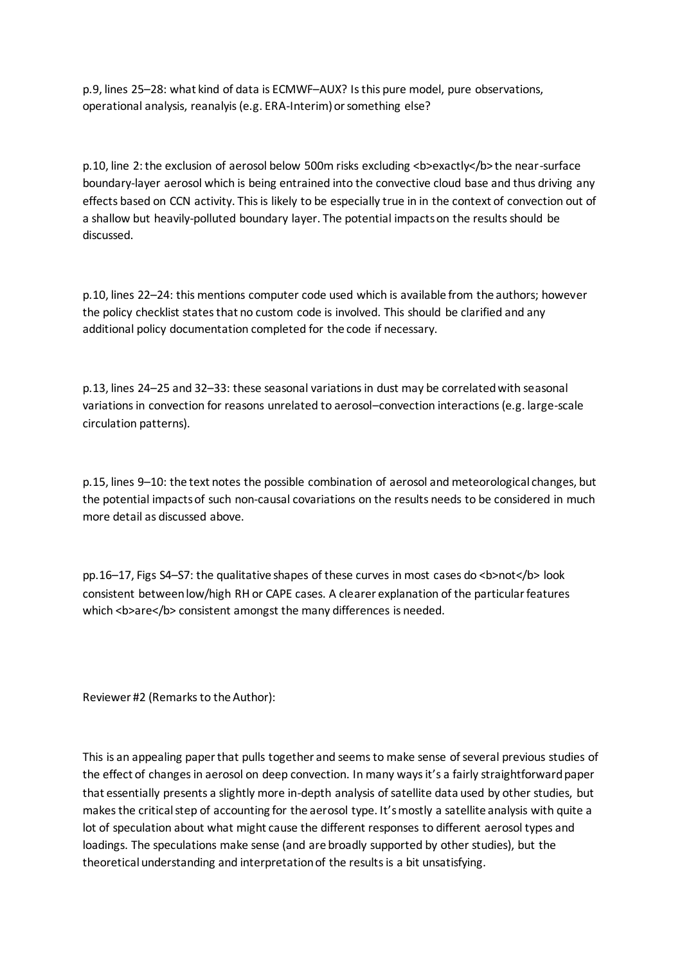p.9, lines 25–28: what kind of data is ECMWF–AUX? Is this pure model, pure observations, operational analysis, reanalyis (e.g. ERA-Interim) or something else?

p.10, line 2: the exclusion of aerosol below 500m risks excluding <br >b>exactly</b> the near-surface boundary-layer aerosol which is being entrained into the convective cloud base and thus driving any effects based on CCN activity. This is likely to be especially true in in the context of convection out of a shallow but heavily-polluted boundary layer. The potential impacts on the results should be discussed.

p.10, lines 22–24: this mentions computer code used which is available from the authors; however the policy checklist states that no custom code is involved. This should be clarified and any additional policy documentation completed for the code if necessary.

p.13, lines 24–25 and 32–33: these seasonal variations in dust may be correlated with seasonal variations in convection for reasons unrelated to aerosol–convection interactions (e.g. large-scale circulation patterns).

p.15, lines 9–10: the text notes the possible combination of aerosol and meteorological changes, but the potential impacts of such non-causal covariations on the results needs to be considered in much more detail as discussed above.

pp.16–17, Figs S4–S7: the qualitative shapes of these curves in most cases do <b>not</b> look consistent between low/high RH or CAPE cases. A clearer explanation of the particular features which <br >>>>>>> consistent amongst the many differences is needed.

Reviewer #2 (Remarks to the Author):

This is an appealing paper that pulls together and seems to make sense of several previous studies of the effect of changes in aerosol on deep convection. In many ways it's a fairly straightforward paper that essentially presents a slightly more in-depth analysis of satellite data used by other studies, but makes the critical step of accounting for the aerosol type. It's mostly a satellite analysis with quite a lot of speculation about what might cause the different responses to different aerosol types and loadings. The speculations make sense (and are broadly supported by other studies), but the theoretical understanding and interpretation of the results is a bit unsatisfying.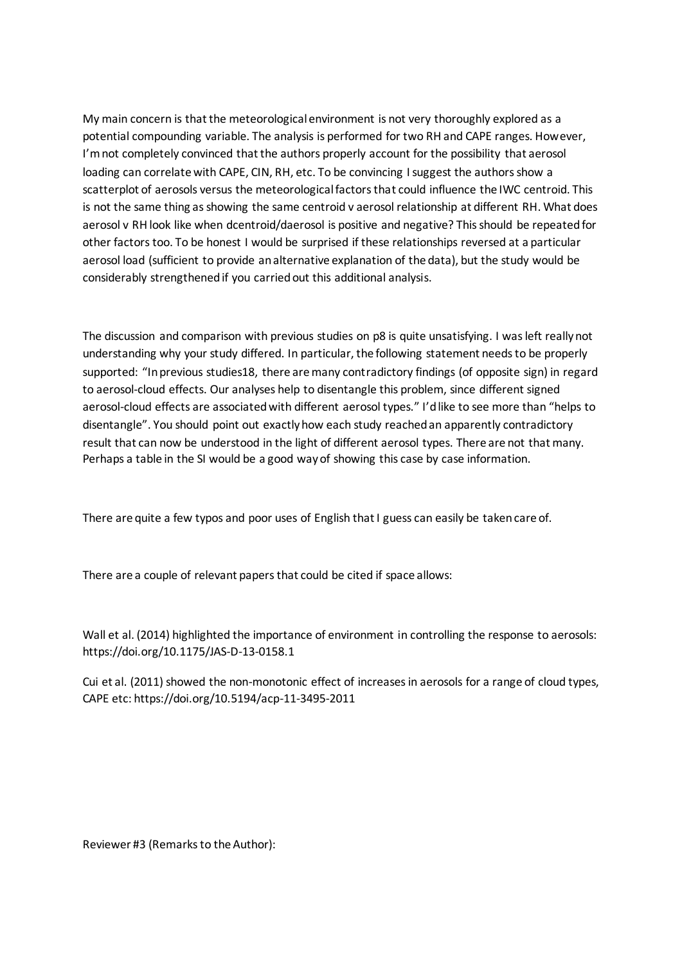My main concern is that the meteorological environment is not very thoroughly explored as a potential compounding variable. The analysis is performed for two RH and CAPE ranges. However, I'm not completely convinced that the authors properly account for the possibility that aerosol loading can correlate with CAPE, CIN, RH, etc. To be convincing I suggest the authors show a scatterplot of aerosols versus the meteorological factors that could influence the IWC centroid. This is not the same thing as showing the same centroid v aerosol relationship at different RH. What does aerosol v RH look like when dcentroid/daerosol is positive and negative? This should be repeated for other factors too. To be honest I would be surprised if these relationships reversed at a particular aerosol load (sufficient to provide an alternative explanation of the data), but the study would be considerably strengthened if you carried out this additional analysis.

The discussion and comparison with previous studies on p8 is quite unsatisfying. I was left really not understanding why your study differed. In particular, the following statement needs to be properly supported: "In previous studies18, there are many contradictory findings (of opposite sign) in regard to aerosol-cloud effects. Our analyses help to disentangle this problem, since different signed aerosol-cloud effects are associated with different aerosol types." I'd like to see more than "helps to disentangle". You should point out exactly how each study reached an apparently contradictory result that can now be understood in the light of different aerosol types. There are not that many. Perhaps a table in the SI would be a good way of showing this case by case information.

There are quite a few typos and poor uses of English that I guess can easily be taken care of.

There are a couple of relevant papers that could be cited if space allows:

Wall et al. (2014) highlighted the importance of environment in controlling the response to aerosols: https://doi.org/10.1175/JAS-D-13-0158.1

Cui et al. (2011) showed the non-monotonic effect of increases in aerosols for a range of cloud types, CAPE etc: https://doi.org/10.5194/acp-11-3495-2011

Reviewer #3 (Remarks to the Author):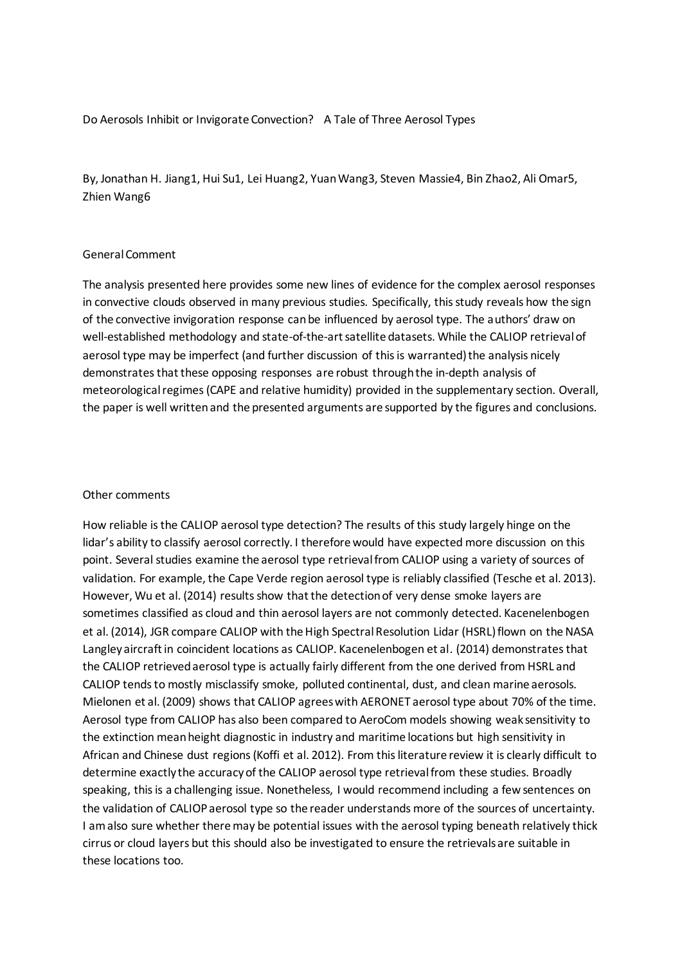Do Aerosols Inhibit or Invigorate Convection? A Tale of Three Aerosol Types

By, Jonathan H. Jiang1, Hui Su1, Lei Huang2, Yuan Wang3, Steven Massie4, Bin Zhao2, Ali Omar5, Zhien Wang6

#### General Comment

The analysis presented here provides some new lines of evidence for the complex aerosol responses in convective clouds observed in many previous studies. Specifically, this study reveals how the sign of the convective invigoration response can be influenced by aerosol type. The authors' draw on well-established methodology and state-of-the-art satellite datasets. While the CALIOP retrieval of aerosol type may be imperfect (and further discussion of this is warranted) the analysis nicely demonstrates that these opposing responses are robust through the in-depth analysis of meteorological regimes (CAPE and relative humidity) provided in the supplementary section. Overall, the paper is well written and the presented arguments are supported by the figures and conclusions.

#### Other comments

How reliable is the CALIOP aerosol type detection? The results of this study largely hinge on the lidar's ability to classify aerosol correctly. I therefore would have expected more discussion on this point. Several studies examine the aerosol type retrieval from CALIOP using a variety of sources of validation. For example, the Cape Verde region aerosol type is reliably classified (Tesche et al. 2013). However, Wu et al. (2014) results show that the detection of very dense smoke layers are sometimes classified as cloud and thin aerosol layers are not commonly detected. Kacenelenbogen et al. (2014), JGR compare CALIOP with the High Spectral Resolution Lidar (HSRL) flown on the NASA Langley aircraft in coincident locations as CALIOP. Kacenelenbogen et al. (2014) demonstrates that the CALIOP retrieved aerosol type is actually fairly different from the one derived from HSRL and CALIOP tends to mostly misclassify smoke, polluted continental, dust, and clean marine aerosols. Mielonen et al. (2009) shows that CALIOP agrees with AERONET aerosol type about 70% of the time. Aerosol type from CALIOP has also been compared to AeroCom models showing weak sensitivity to the extinction mean height diagnostic in industry and maritime locations but high sensitivity in African and Chinese dust regions (Koffi et al. 2012). From this literature review it is clearly difficult to determine exactly the accuracy of the CALIOP aerosol type retrieval from these studies. Broadly speaking, this is a challenging issue. Nonetheless, I would recommend including a few sentences on the validation of CALIOP aerosol type so the reader understands more of the sources of uncertainty. I am also sure whether there may be potential issues with the aerosol typing beneath relatively thick cirrus or cloud layers but this should also be investigated to ensure the retrievals are suitable in these locations too.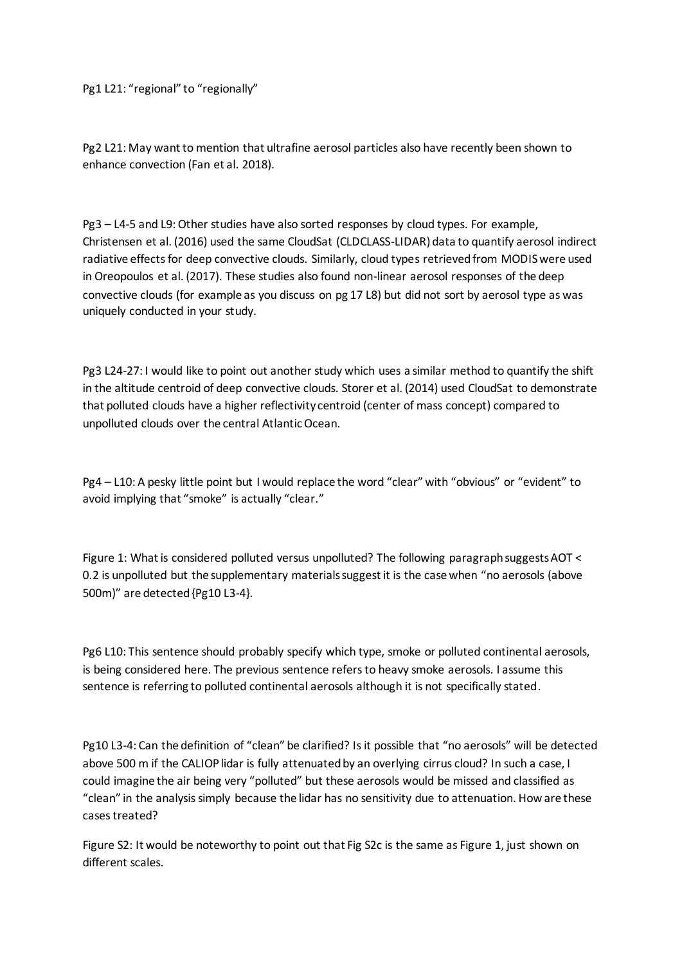Pg1 L21: "regional" to "regionally"

Pg2 L21: May want to mention that ultrafine aerosol particles also have recently been shown to enhance convection (Fan et al. 2018).

Pg3 – L4-5 and L9: Other studies have also sorted responses by cloud types. For example, Christensen et al. (2016) used the same CloudSat (CLDCLASS-LIDAR) data to quantify aerosol indirect radiative effects for deep convective clouds. Similarly, cloud types retrieved from MODIS were used in Oreopoulos et al. (2017). These studies also found non-linear aerosol responses of the deep convective clouds (for example as you discuss on pg 17 L8) but did not sort by aerosol type as was uniquely conducted in your study.

Pg3 L24-27: I would like to point out another study which uses a similar method to quantify the shift in the altitude centroid of deep convective clouds. Storer et al. (2014) used CloudSat to demonstrate that polluted clouds have a higher reflectivity centroid (center of mass concept) compared to unpolluted clouds over the central Atlantic Ocean.

Pg4 – L10: A pesky little point but I would replace the word "clear" with "obvious" or "evident" to avoid implying that "smoke" is actually "clear."

Figure 1: What is considered polluted versus unpolluted? The following paragraph suggests AOT < 0.2 is unpolluted but the supplementary materials suggest it is the case when "no aerosols (above 500m)" are detected {Pg10 L3-4}.

Pg6 L10: This sentence should probably specify which type, smoke or polluted continental aerosols, is being considered here. The previous sentence refers to heavy smoke aerosols. I assume this sentence is referring to polluted continental aerosols although it is not specifically stated.

Pg10 L3-4: Can the definition of "clean" be clarified? Is it possible that "no aerosols" will be detected above 500 m if the CALIOP lidar is fully attenuated by an overlying cirrus cloud? In such a case, I could imagine the air being very "polluted" but these aerosols would be missed and classified as "clean" in the analysis simply because the lidar has no sensitivity due to attenuation. How are these cases treated?

Figure S2: It would be noteworthy to point out that Fig S2c is the same as Figure 1, just shown on different scales.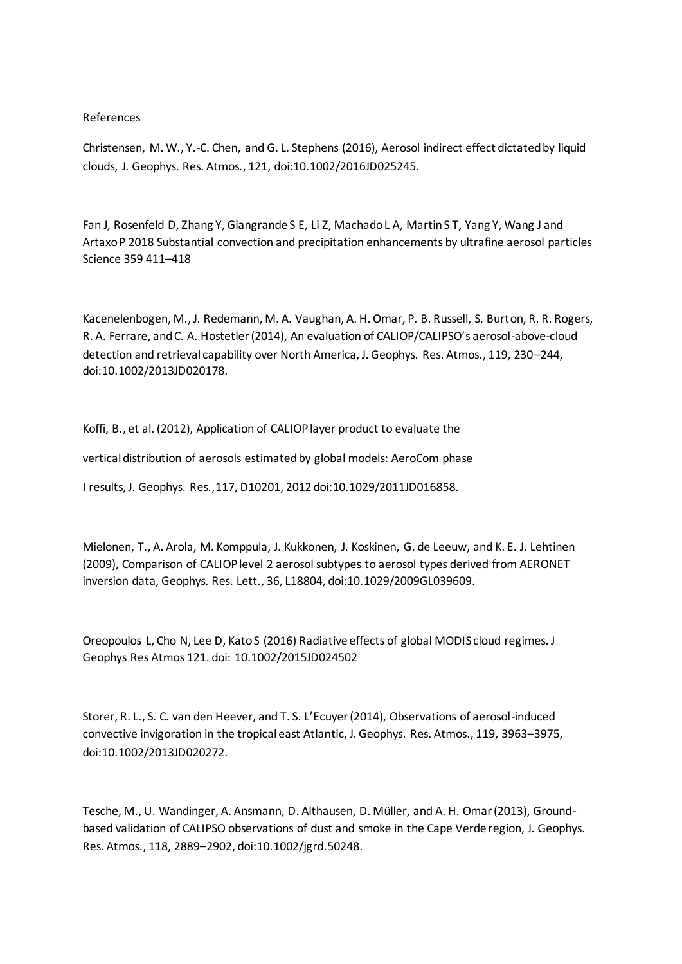#### References

Christensen, M. W., Y.-C. Chen, and G. L. Stephens (2016), Aerosol indirect effect dictated by liquid clouds, J. Geophys. Res. Atmos., 121, doi:10.1002/2016JD025245.

Fan J, Rosenfeld D, Zhang Y, Giangrande S E, Li Z, Machado L A, Martin S T, Yang Y, Wang J and Artaxo P 2018 Substantial convection and precipitation enhancements by ultrafine aerosol particles Science 359 411–418

Kacenelenbogen, M., J. Redemann, M. A. Vaughan, A. H. Omar, P. B. Russell, S. Burton, R. R. Rogers, R. A. Ferrare, and C. A. Hostetler (2014), An evaluation of CALIOP/CALIPSO's aerosol-above-cloud detection and retrieval capability over North America, J. Geophys. Res. Atmos., 119, 230–244, doi:10.1002/2013JD020178.

Koffi, B., et al. (2012), Application of CALIOP layer product to evaluate the

vertical distribution of aerosols estimated by global models: AeroCom phase

I results, J. Geophys. Res.,117, D10201, 2012 doi:10.1029/2011JD016858.

Mielonen, T., A. Arola, M. Komppula, J. Kukkonen, J. Koskinen, G. de Leeuw, and K. E. J. Lehtinen (2009), Comparison of CALIOP level 2 aerosol subtypes to aerosol types derived from AERONET inversion data, Geophys. Res. Lett., 36, L18804, doi:10.1029/2009GL039609.

Oreopoulos L, Cho N, Lee D, Kato S (2016) Radiative effects of global MODIS cloud regimes. J Geophys Res Atmos 121. doi: 10.1002/2015JD024502

Storer, R. L., S. C. van den Heever, and T. S. L'Ecuyer (2014), Observations of aerosol-induced convective invigoration in the tropical east Atlantic, J. Geophys. Res. Atmos., 119, 3963–3975, doi:10.1002/2013JD020272.

Tesche, M., U. Wandinger, A. Ansmann, D. Althausen, D. Müller, and A. H. Omar (2013), Groundbased validation of CALIPSO observations of dust and smoke in the Cape Verde region, J. Geophys. Res. Atmos., 118, 2889–2902, doi:10.1002/jgrd.50248.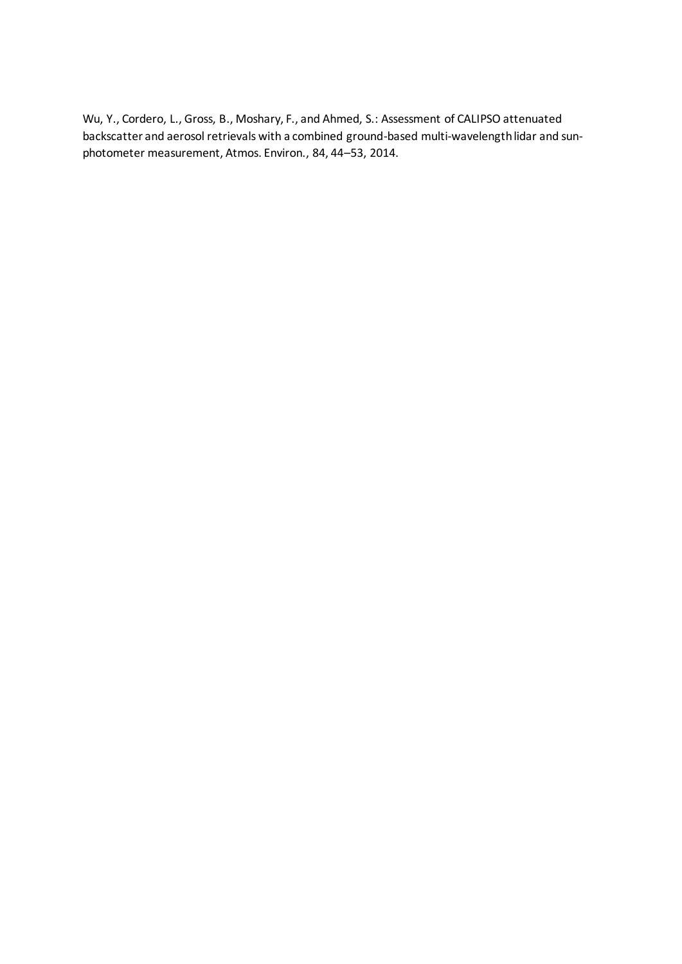Wu, Y., Cordero, L., Gross, B., Moshary, F., and Ahmed, S.: Assessment of CALIPSO attenuated backscatter and aerosol retrievals with a combined ground-based multi-wavelength lidar and sunphotometer measurement, Atmos. Environ., 84, 44–53, 2014.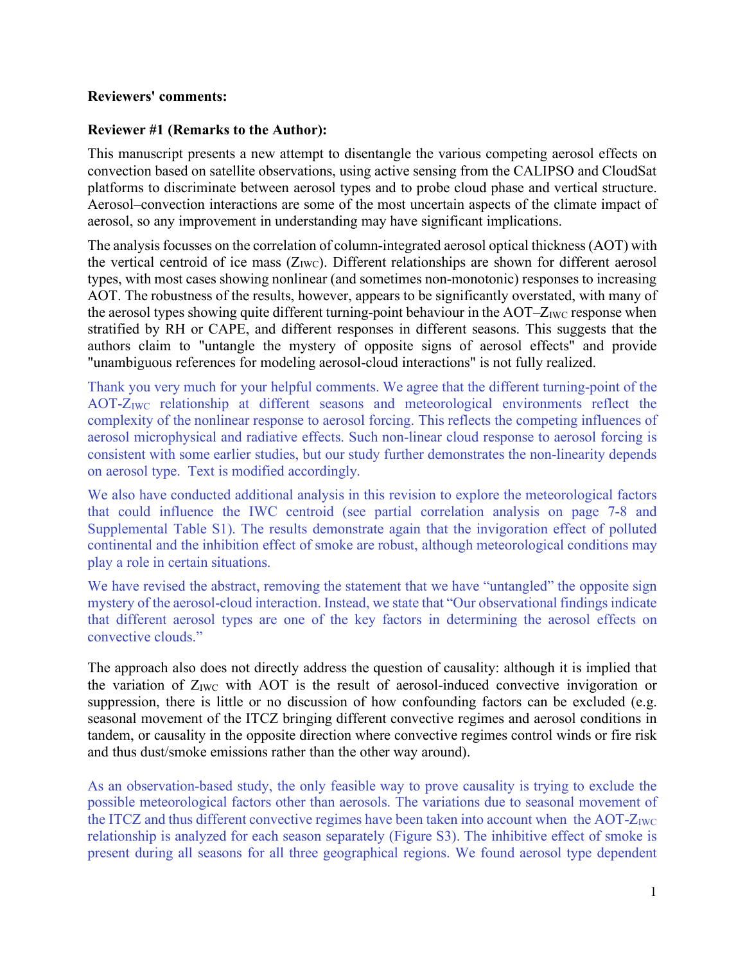### **Reviewers' comments:**

## **Reviewer #1 (Remarks to the Author):**

This manuscript presents a new attempt to disentangle the various competing aerosol effects on convection based on satellite observations, using active sensing from the CALIPSO and CloudSat platforms to discriminate between aerosol types and to probe cloud phase and vertical structure. Aerosol–convection interactions are some of the most uncertain aspects of the climate impact of aerosol, so any improvement in understanding may have significant implications.

The analysis focusses on the correlation of column-integrated aerosol optical thickness (AOT) with the vertical centroid of ice mass  $(Z_{\text{IWC}})$ . Different relationships are shown for different aerosol types, with most cases showing nonlinear (and sometimes non-monotonic) responses to increasing AOT. The robustness of the results, however, appears to be significantly overstated, with many of the aerosol types showing quite different turning-point behaviour in the  $AOT-Z<sub>IWC</sub>$  response when stratified by RH or CAPE, and different responses in different seasons. This suggests that the authors claim to "untangle the mystery of opposite signs of aerosol effects" and provide "unambiguous references for modeling aerosol-cloud interactions" is not fully realized.

Thank you very much for your helpful comments. We agree that the different turning-point of the AOT-ZIWC relationship at different seasons and meteorological environments reflect the complexity of the nonlinear response to aerosol forcing. This reflects the competing influences of aerosol microphysical and radiative effects. Such non-linear cloud response to aerosol forcing is consistent with some earlier studies, but our study further demonstrates the non-linearity depends on aerosol type. Text is modified accordingly.

We also have conducted additional analysis in this revision to explore the meteorological factors that could influence the IWC centroid (see partial correlation analysis on page 7-8 and Supplemental Table S1). The results demonstrate again that the invigoration effect of polluted continental and the inhibition effect of smoke are robust, although meteorological conditions may play a role in certain situations.

We have revised the abstract, removing the statement that we have "untangled" the opposite sign mystery of the aerosol-cloud interaction. Instead, we state that "Our observational findings indicate that different aerosol types are one of the key factors in determining the aerosol effects on convective clouds."

The approach also does not directly address the question of causality: although it is implied that the variation of  $Z_{\text{IWC}}$  with AOT is the result of aerosol-induced convective invigoration or suppression, there is little or no discussion of how confounding factors can be excluded (e.g. seasonal movement of the ITCZ bringing different convective regimes and aerosol conditions in tandem, or causality in the opposite direction where convective regimes control winds or fire risk and thus dust/smoke emissions rather than the other way around).

As an observation-based study, the only feasible way to prove causality is trying to exclude the possible meteorological factors other than aerosols. The variations due to seasonal movement of the ITCZ and thus different convective regimes have been taken into account when the AOT- $Z_{\text{IWC}}$ relationship is analyzed for each season separately (Figure S3). The inhibitive effect of smoke is present during all seasons for all three geographical regions. We found aerosol type dependent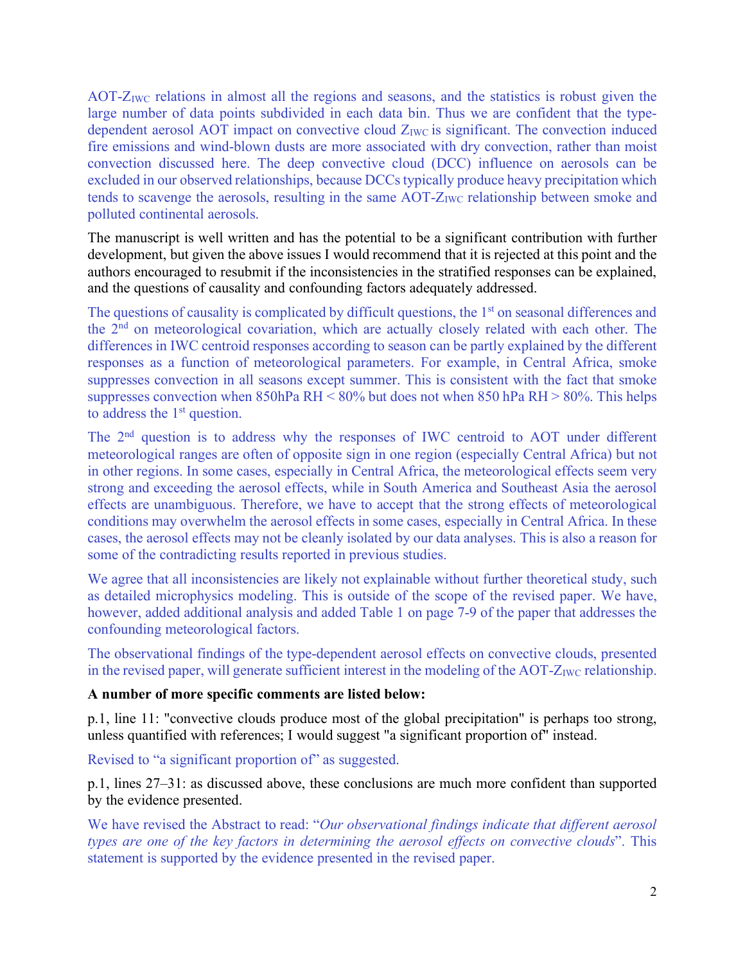AOT- $Z_{\text{IWC}}$  relations in almost all the regions and seasons, and the statistics is robust given the large number of data points subdivided in each data bin. Thus we are confident that the typedependent aerosol AOT impact on convective cloud  $Z_{\text{IWC}}$  is significant. The convection induced fire emissions and wind-blown dusts are more associated with dry convection, rather than moist convection discussed here. The deep convective cloud (DCC) influence on aerosols can be excluded in our observed relationships, because DCCs typically produce heavy precipitation which tends to scavenge the aerosols, resulting in the same  $AOT-Z<sub>IWC</sub>$  relationship between smoke and polluted continental aerosols.

The manuscript is well written and has the potential to be a significant contribution with further development, but given the above issues I would recommend that it is rejected at this point and the authors encouraged to resubmit if the inconsistencies in the stratified responses can be explained, and the questions of causality and confounding factors adequately addressed.

The questions of causality is complicated by difficult questions, the 1<sup>st</sup> on seasonal differences and the 2nd on meteorological covariation, which are actually closely related with each other. The differences in IWC centroid responses according to season can be partly explained by the different responses as a function of meteorological parameters. For example, in Central Africa, smoke suppresses convection in all seasons except summer. This is consistent with the fact that smoke suppresses convection when 850hPa RH <  $80\%$  but does not when 850 hPa RH >  $80\%$ . This helps to address the 1<sup>st</sup> question.

The 2<sup>nd</sup> question is to address why the responses of IWC centroid to AOT under different meteorological ranges are often of opposite sign in one region (especially Central Africa) but not in other regions. In some cases, especially in Central Africa, the meteorological effects seem very strong and exceeding the aerosol effects, while in South America and Southeast Asia the aerosol effects are unambiguous. Therefore, we have to accept that the strong effects of meteorological conditions may overwhelm the aerosol effects in some cases, especially in Central Africa. In these cases, the aerosol effects may not be cleanly isolated by our data analyses. This is also a reason for some of the contradicting results reported in previous studies.

We agree that all inconsistencies are likely not explainable without further theoretical study, such as detailed microphysics modeling. This is outside of the scope of the revised paper. We have, however, added additional analysis and added Table 1 on page 7-9 of the paper that addresses the confounding meteorological factors.

The observational findings of the type-dependent aerosol effects on convective clouds, presented in the revised paper, will generate sufficient interest in the modeling of the AOT- $Z_{\text{IWC}}$  relationship.

# **A number of more specific comments are listed below:**

p.1, line 11: "convective clouds produce most of the global precipitation" is perhaps too strong, unless quantified with references; I would suggest "a significant proportion of" instead.

Revised to "a significant proportion of" as suggested.

p.1, lines 27–31: as discussed above, these conclusions are much more confident than supported by the evidence presented.

We have revised the Abstract to read: "*Our observational findings indicate that different aerosol types are one of the key factors in determining the aerosol effects on convective clouds*". This statement is supported by the evidence presented in the revised paper.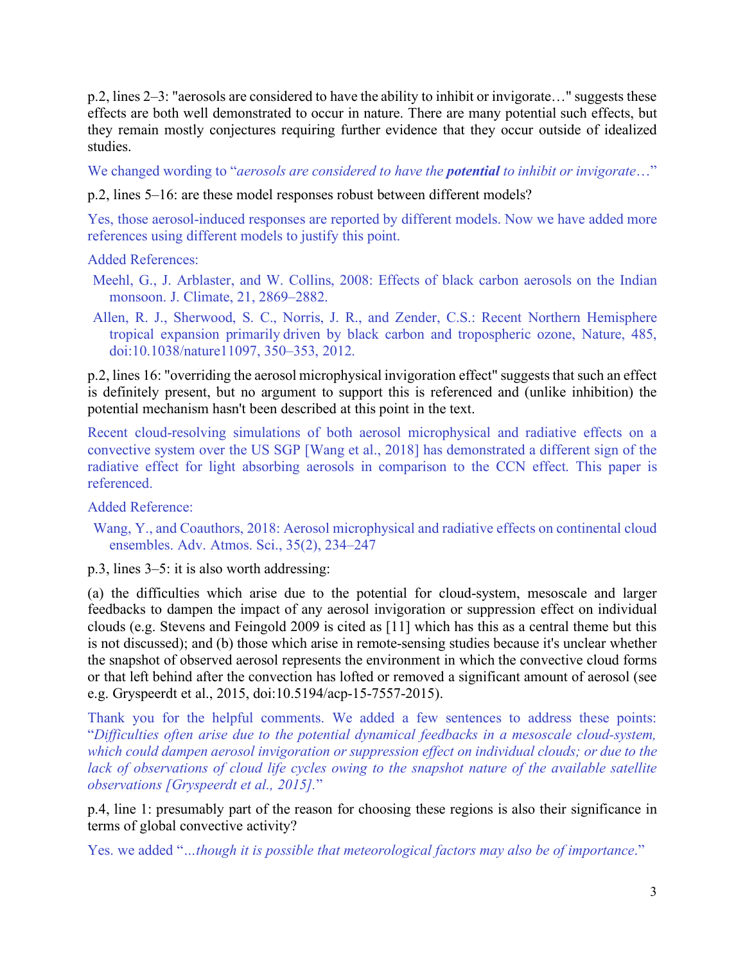p.2, lines 2–3: "aerosols are considered to have the ability to inhibit or invigorate…" suggests these effects are both well demonstrated to occur in nature. There are many potential such effects, but they remain mostly conjectures requiring further evidence that they occur outside of idealized studies.

We changed wording to "*aerosols are considered to have the potential to inhibit or invigorate*…"

p.2, lines 5–16: are these model responses robust between different models?

Yes, those aerosol-induced responses are reported by different models. Now we have added more references using different models to justify this point.

Added References:

- Meehl, G., J. Arblaster, and W. Collins, 2008: Effects of black carbon aerosols on the Indian monsoon. J. Climate, 21, 2869–2882.
- Allen, R. J., Sherwood, S. C., Norris, J. R., and Zender, C.S.: Recent Northern Hemisphere tropical expansion primarily driven by black carbon and tropospheric ozone, Nature, 485, doi:10.1038/nature11097, 350–353, 2012.

p.2, lines 16: "overriding the aerosol microphysical invigoration effect" suggests that such an effect is definitely present, but no argument to support this is referenced and (unlike inhibition) the potential mechanism hasn't been described at this point in the text.

Recent cloud-resolving simulations of both aerosol microphysical and radiative effects on a convective system over the US SGP [Wang et al., 2018] has demonstrated a different sign of the radiative effect for light absorbing aerosols in comparison to the CCN effect. This paper is referenced.

Added Reference:

Wang, Y., and Coauthors, 2018: Aerosol microphysical and radiative effects on continental cloud ensembles. Adv. Atmos. Sci., 35(2), 234–247

p.3, lines 3–5: it is also worth addressing:

(a) the difficulties which arise due to the potential for cloud-system, mesoscale and larger feedbacks to dampen the impact of any aerosol invigoration or suppression effect on individual clouds (e.g. Stevens and Feingold 2009 is cited as [11] which has this as a central theme but this is not discussed); and (b) those which arise in remote-sensing studies because it's unclear whether the snapshot of observed aerosol represents the environment in which the convective cloud forms or that left behind after the convection has lofted or removed a significant amount of aerosol (see e.g. Gryspeerdt et al., 2015, doi:10.5194/acp-15-7557-2015).

Thank you for the helpful comments. We added a few sentences to address these points: "*Difficulties often arise due to the potential dynamical feedbacks in a mesoscale cloud-system, which could dampen aerosol invigoration or suppression effect on individual clouds; or due to the lack of observations of cloud life cycles owing to the snapshot nature of the available satellite observations [Gryspeerdt et al., 2015].*"

p.4, line 1: presumably part of the reason for choosing these regions is also their significance in terms of global convective activity?

Yes. we added "*…though it is possible that meteorological factors may also be of importance*."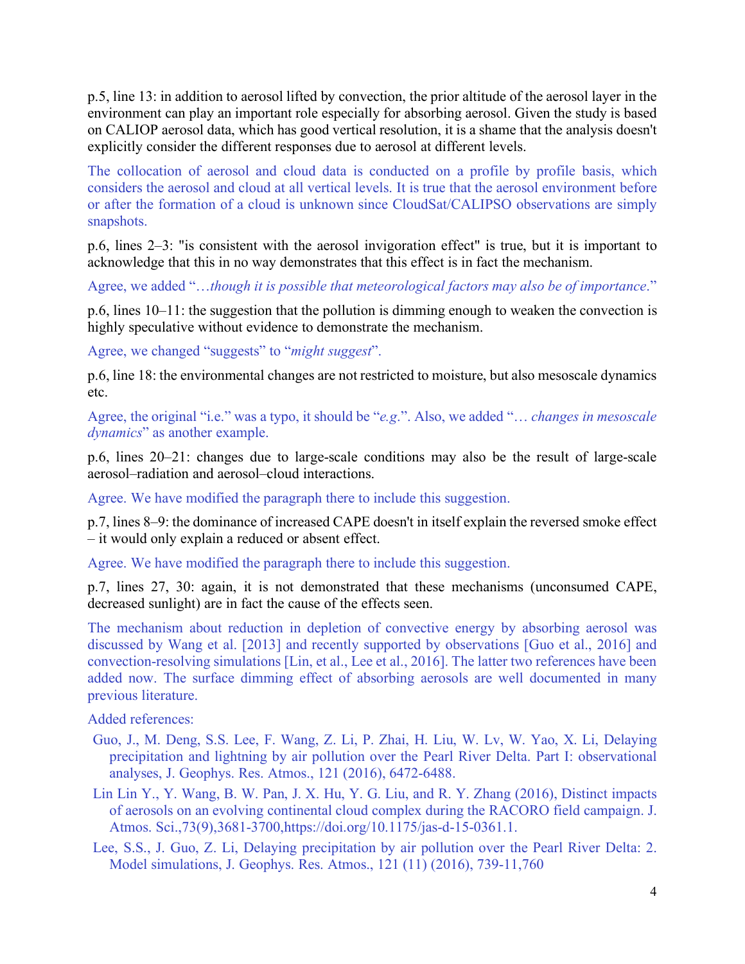p.5, line 13: in addition to aerosol lifted by convection, the prior altitude of the aerosol layer in the environment can play an important role especially for absorbing aerosol. Given the study is based on CALIOP aerosol data, which has good vertical resolution, it is a shame that the analysis doesn't explicitly consider the different responses due to aerosol at different levels.

The collocation of aerosol and cloud data is conducted on a profile by profile basis, which considers the aerosol and cloud at all vertical levels. It is true that the aerosol environment before or after the formation of a cloud is unknown since CloudSat/CALIPSO observations are simply snapshots.

p.6, lines 2–3: "is consistent with the aerosol invigoration effect" is true, but it is important to acknowledge that this in no way demonstrates that this effect is in fact the mechanism.

Agree, we added "…*though it is possible that meteorological factors may also be of importance*."

p.6, lines 10–11: the suggestion that the pollution is dimming enough to weaken the convection is highly speculative without evidence to demonstrate the mechanism.

Agree, we changed "suggests" to "*might suggest*".

p.6, line 18: the environmental changes are not restricted to moisture, but also mesoscale dynamics etc.

Agree, the original "i.e." was a typo, it should be "*e.g*.". Also, we added "… *changes in mesoscale dynamics*" as another example.

p.6, lines 20–21: changes due to large-scale conditions may also be the result of large-scale aerosol–radiation and aerosol–cloud interactions.

Agree. We have modified the paragraph there to include this suggestion.

p.7, lines 8–9: the dominance of increased CAPE doesn't in itself explain the reversed smoke effect – it would only explain a reduced or absent effect.

Agree. We have modified the paragraph there to include this suggestion.

p.7, lines 27, 30: again, it is not demonstrated that these mechanisms (unconsumed CAPE, decreased sunlight) are in fact the cause of the effects seen.

The mechanism about reduction in depletion of convective energy by absorbing aerosol was discussed by Wang et al. [2013] and recently supported by observations [Guo et al., 2016] and convection-resolving simulations [Lin, et al., Lee et al., 2016]. The latter two references have been added now. The surface dimming effect of absorbing aerosols are well documented in many previous literature.

Added references:

- Guo, J., M. Deng, S.S. Lee, F. Wang, Z. Li, P. Zhai, H. Liu, W. Lv, W. Yao, X. Li, Delaying precipitation and lightning by air pollution over the Pearl River Delta. Part I: observational analyses, J. Geophys. Res. Atmos., 121 (2016), 6472-6488.
- Lin Lin Y., Y. Wang, B. W. Pan, J. X. Hu, Y. G. Liu, and R. Y. Zhang (2016), Distinct impacts of aerosols on an evolving continental cloud complex during the RACORO field campaign. J. Atmos. Sci.,73(9),3681-3700,https://doi.org/10.1175/jas-d-15-0361.1.
- Lee, S.S., J. Guo, Z. Li, Delaying precipitation by air pollution over the Pearl River Delta: 2. Model simulations, J. Geophys. Res. Atmos., 121 (11) (2016), 739-11,760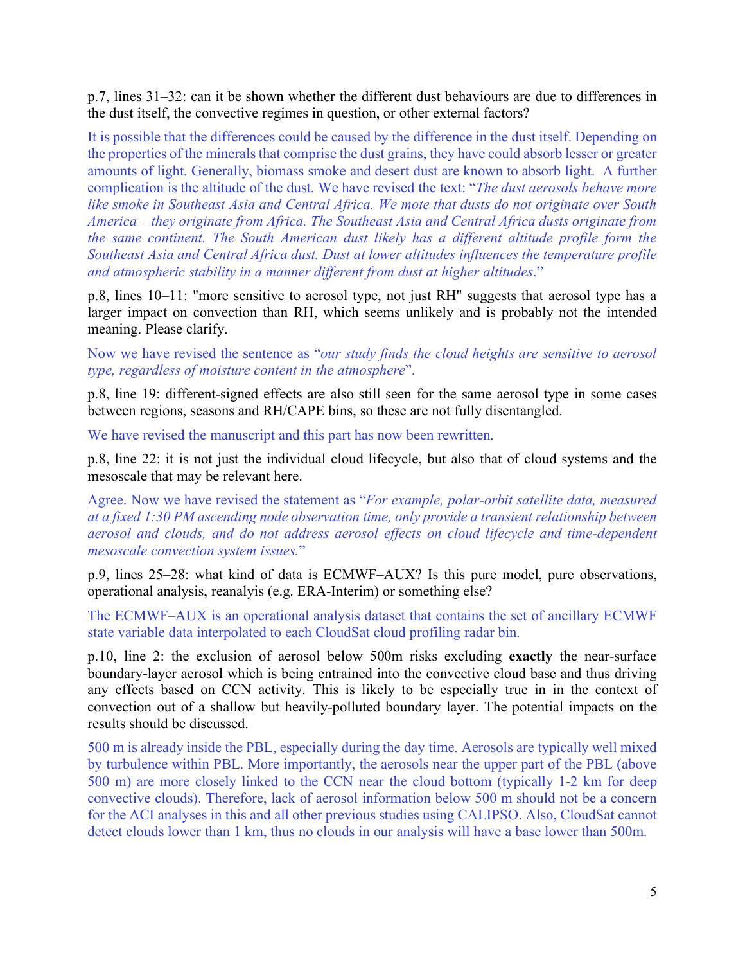p.7, lines 31–32: can it be shown whether the different dust behaviours are due to differences in the dust itself, the convective regimes in question, or other external factors?

It is possible that the differences could be caused by the difference in the dust itself. Depending on the properties of the minerals that comprise the dust grains, they have could absorb lesser or greater amounts of light. Generally, biomass smoke and desert dust are known to absorb light. A further complication is the altitude of the dust. We have revised the text: "*The dust aerosols behave more like smoke in Southeast Asia and Central Africa. We mote that dusts do not originate over South America – they originate from Africa. The Southeast Asia and Central Africa dusts originate from the same continent. The South American dust likely has a different altitude profile form the Southeast Asia and Central Africa dust. Dust at lower altitudes influences the temperature profile and atmospheric stability in a manner different from dust at higher altitudes*."

p.8, lines 10–11: "more sensitive to aerosol type, not just RH" suggests that aerosol type has a larger impact on convection than RH, which seems unlikely and is probably not the intended meaning. Please clarify.

Now we have revised the sentence as "*our study finds the cloud heights are sensitive to aerosol type, regardless of moisture content in the atmosphere*".

p.8, line 19: different-signed effects are also still seen for the same aerosol type in some cases between regions, seasons and RH/CAPE bins, so these are not fully disentangled.

We have revised the manuscript and this part has now been rewritten.

p.8, line 22: it is not just the individual cloud lifecycle, but also that of cloud systems and the mesoscale that may be relevant here.

Agree. Now we have revised the statement as "*For example, polar-orbit satellite data, measured at a fixed 1:30 PM ascending node observation time, only provide a transient relationship between aerosol and clouds, and do not address aerosol effects on cloud lifecycle and time-dependent mesoscale convection system issues.*"

p.9, lines 25–28: what kind of data is ECMWF–AUX? Is this pure model, pure observations, operational analysis, reanalyis (e.g. ERA-Interim) or something else?

The ECMWF–AUX is an operational analysis dataset that contains the set of ancillary ECMWF state variable data interpolated to each CloudSat cloud profiling radar bin.

p.10, line 2: the exclusion of aerosol below 500m risks excluding **exactly** the near-surface boundary-layer aerosol which is being entrained into the convective cloud base and thus driving any effects based on CCN activity. This is likely to be especially true in in the context of convection out of a shallow but heavily-polluted boundary layer. The potential impacts on the results should be discussed.

500 m is already inside the PBL, especially during the day time. Aerosols are typically well mixed by turbulence within PBL. More importantly, the aerosols near the upper part of the PBL (above 500 m) are more closely linked to the CCN near the cloud bottom (typically 1-2 km for deep convective clouds). Therefore, lack of aerosol information below 500 m should not be a concern for the ACI analyses in this and all other previous studies using CALIPSO. Also, CloudSat cannot detect clouds lower than 1 km, thus no clouds in our analysis will have a base lower than 500m.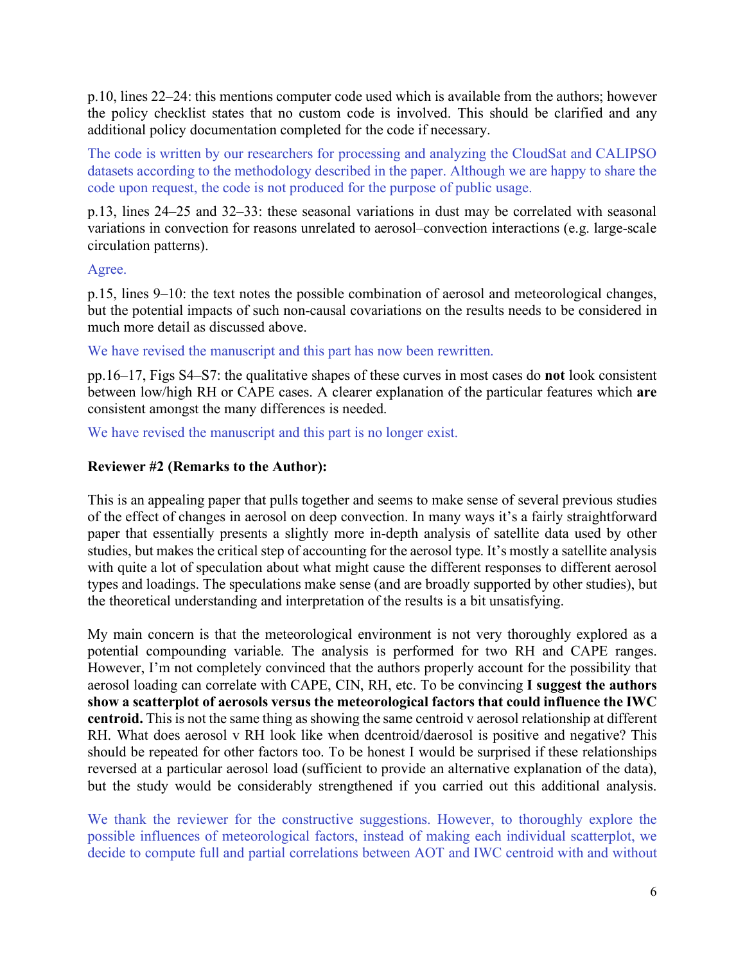p.10, lines 22–24: this mentions computer code used which is available from the authors; however the policy checklist states that no custom code is involved. This should be clarified and any additional policy documentation completed for the code if necessary.

The code is written by our researchers for processing and analyzing the CloudSat and CALIPSO datasets according to the methodology described in the paper. Although we are happy to share the code upon request, the code is not produced for the purpose of public usage.

p.13, lines 24–25 and 32–33: these seasonal variations in dust may be correlated with seasonal variations in convection for reasons unrelated to aerosol–convection interactions (e.g. large-scale circulation patterns).

# Agree.

p.15, lines 9–10: the text notes the possible combination of aerosol and meteorological changes, but the potential impacts of such non-causal covariations on the results needs to be considered in much more detail as discussed above.

We have revised the manuscript and this part has now been rewritten.

pp.16–17, Figs S4–S7: the qualitative shapes of these curves in most cases do **not** look consistent between low/high RH or CAPE cases. A clearer explanation of the particular features which **are** consistent amongst the many differences is needed.

We have revised the manuscript and this part is no longer exist.

# **Reviewer #2 (Remarks to the Author):**

This is an appealing paper that pulls together and seems to make sense of several previous studies of the effect of changes in aerosol on deep convection. In many ways it's a fairly straightforward paper that essentially presents a slightly more in-depth analysis of satellite data used by other studies, but makes the critical step of accounting for the aerosol type. It's mostly a satellite analysis with quite a lot of speculation about what might cause the different responses to different aerosol types and loadings. The speculations make sense (and are broadly supported by other studies), but the theoretical understanding and interpretation of the results is a bit unsatisfying.

My main concern is that the meteorological environment is not very thoroughly explored as a potential compounding variable. The analysis is performed for two RH and CAPE ranges. However, I'm not completely convinced that the authors properly account for the possibility that aerosol loading can correlate with CAPE, CIN, RH, etc. To be convincing **I suggest the authors show a scatterplot of aerosols versus the meteorological factors that could influence the IWC centroid.** This is not the same thing as showing the same centroid v aerosol relationship at different RH. What does aerosol v RH look like when dcentroid/daerosol is positive and negative? This should be repeated for other factors too. To be honest I would be surprised if these relationships reversed at a particular aerosol load (sufficient to provide an alternative explanation of the data), but the study would be considerably strengthened if you carried out this additional analysis.

We thank the reviewer for the constructive suggestions. However, to thoroughly explore the possible influences of meteorological factors, instead of making each individual scatterplot, we decide to compute full and partial correlations between AOT and IWC centroid with and without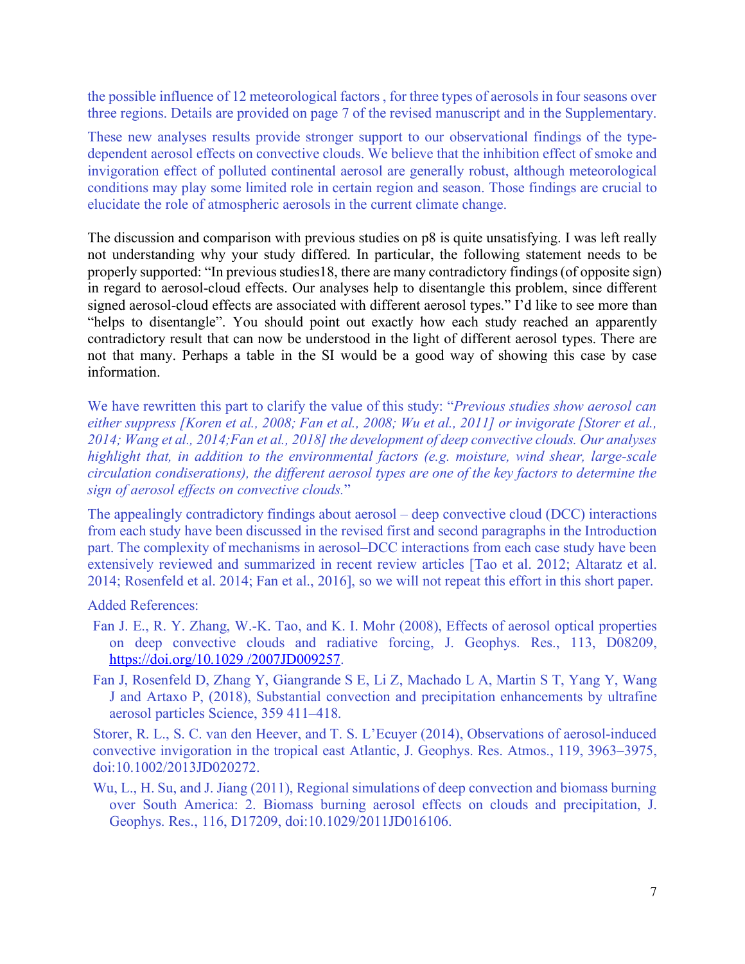the possible influence of 12 meteorological factors , for three types of aerosols in four seasons over three regions. Details are provided on page 7 of the revised manuscript and in the Supplementary.

These new analyses results provide stronger support to our observational findings of the typedependent aerosol effects on convective clouds. We believe that the inhibition effect of smoke and invigoration effect of polluted continental aerosol are generally robust, although meteorological conditions may play some limited role in certain region and season. Those findings are crucial to elucidate the role of atmospheric aerosols in the current climate change.

The discussion and comparison with previous studies on p8 is quite unsatisfying. I was left really not understanding why your study differed. In particular, the following statement needs to be properly supported: "In previous studies18, there are many contradictory findings (of opposite sign) in regard to aerosol-cloud effects. Our analyses help to disentangle this problem, since different signed aerosol-cloud effects are associated with different aerosol types." I'd like to see more than "helps to disentangle". You should point out exactly how each study reached an apparently contradictory result that can now be understood in the light of different aerosol types. There are not that many. Perhaps a table in the SI would be a good way of showing this case by case information.

We have rewritten this part to clarify the value of this study: "*Previous studies show aerosol can either suppress [Koren et al., 2008; Fan et al., 2008; Wu et al., 2011] or invigorate [Storer et al., 2014; Wang et al., 2014;Fan et al., 2018] the development of deep convective clouds. Our analyses highlight that, in addition to the environmental factors (e.g. moisture, wind shear, large-scale circulation condiserations), the different aerosol types are one of the key factors to determine the sign of aerosol effects on convective clouds.*"

The appealingly contradictory findings about aerosol – deep convective cloud (DCC) interactions from each study have been discussed in the revised first and second paragraphs in the Introduction part. The complexity of mechanisms in aerosol–DCC interactions from each case study have been extensively reviewed and summarized in recent review articles [Tao et al. 2012; Altaratz et al. 2014; Rosenfeld et al. 2014; Fan et al., 2016], so we will not repeat this effort in this short paper.

Added References:

- Fan J. E., R. Y. Zhang, W.-K. Tao, and K. I. Mohr (2008), Effects of aerosol optical properties on deep convective clouds and radiative forcing, J. Geophys. Res., 113, D08209, https://doi.org/10.1029 /2007JD009257.
- Fan J, Rosenfeld D, Zhang Y, Giangrande S E, Li Z, Machado L A, Martin S T, Yang Y, Wang J and Artaxo P, (2018), Substantial convection and precipitation enhancements by ultrafine aerosol particles Science, 359 411–418.

Storer, R. L., S. C. van den Heever, and T. S. L'Ecuyer (2014), Observations of aerosol-induced convective invigoration in the tropical east Atlantic, J. Geophys. Res. Atmos., 119, 3963–3975, doi:10.1002/2013JD020272.

Wu, L., H. Su, and J. Jiang (2011), Regional simulations of deep convection and biomass burning over South America: 2. Biomass burning aerosol effects on clouds and precipitation, J. Geophys. Res., 116, D17209, doi:10.1029/2011JD016106.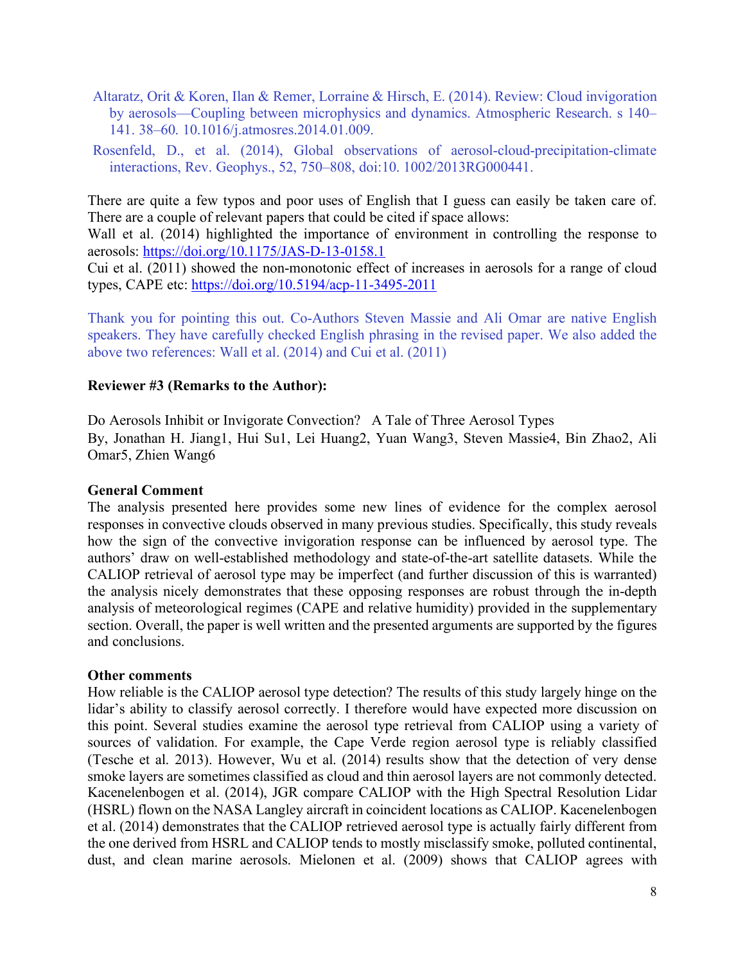- Altaratz, Orit & Koren, Ilan & Remer, Lorraine & Hirsch, E. (2014). Review: Cloud invigoration by aerosols—Coupling between microphysics and dynamics. Atmospheric Research. s 140– 141. 38–60. 10.1016/j.atmosres.2014.01.009.
- Rosenfeld, D., et al. (2014), Global observations of aerosol-cloud-precipitation-climate interactions, Rev. Geophys., 52, 750–808, doi:10. 1002/2013RG000441.

There are quite a few typos and poor uses of English that I guess can easily be taken care of. There are a couple of relevant papers that could be cited if space allows:

Wall et al. (2014) highlighted the importance of environment in controlling the response to aerosols: https://doi.org/10.1175/JAS-D-13-0158.1

Cui et al. (2011) showed the non-monotonic effect of increases in aerosols for a range of cloud types, CAPE etc: https://doi.org/10.5194/acp-11-3495-2011

Thank you for pointing this out. Co-Authors Steven Massie and Ali Omar are native English speakers. They have carefully checked English phrasing in the revised paper. We also added the above two references: Wall et al. (2014) and Cui et al. (2011)

## **Reviewer #3 (Remarks to the Author):**

Do Aerosols Inhibit or Invigorate Convection? A Tale of Three Aerosol Types By, Jonathan H. Jiang1, Hui Su1, Lei Huang2, Yuan Wang3, Steven Massie4, Bin Zhao2, Ali Omar5, Zhien Wang6

### **General Comment**

The analysis presented here provides some new lines of evidence for the complex aerosol responses in convective clouds observed in many previous studies. Specifically, this study reveals how the sign of the convective invigoration response can be influenced by aerosol type. The authors' draw on well-established methodology and state-of-the-art satellite datasets. While the CALIOP retrieval of aerosol type may be imperfect (and further discussion of this is warranted) the analysis nicely demonstrates that these opposing responses are robust through the in-depth analysis of meteorological regimes (CAPE and relative humidity) provided in the supplementary section. Overall, the paper is well written and the presented arguments are supported by the figures and conclusions.

### **Other comments**

How reliable is the CALIOP aerosol type detection? The results of this study largely hinge on the lidar's ability to classify aerosol correctly. I therefore would have expected more discussion on this point. Several studies examine the aerosol type retrieval from CALIOP using a variety of sources of validation. For example, the Cape Verde region aerosol type is reliably classified (Tesche et al. 2013). However, Wu et al. (2014) results show that the detection of very dense smoke layers are sometimes classified as cloud and thin aerosol layers are not commonly detected. Kacenelenbogen et al. (2014), JGR compare CALIOP with the High Spectral Resolution Lidar (HSRL) flown on the NASA Langley aircraft in coincident locations as CALIOP. Kacenelenbogen et al. (2014) demonstrates that the CALIOP retrieved aerosol type is actually fairly different from the one derived from HSRL and CALIOP tends to mostly misclassify smoke, polluted continental, dust, and clean marine aerosols. Mielonen et al. (2009) shows that CALIOP agrees with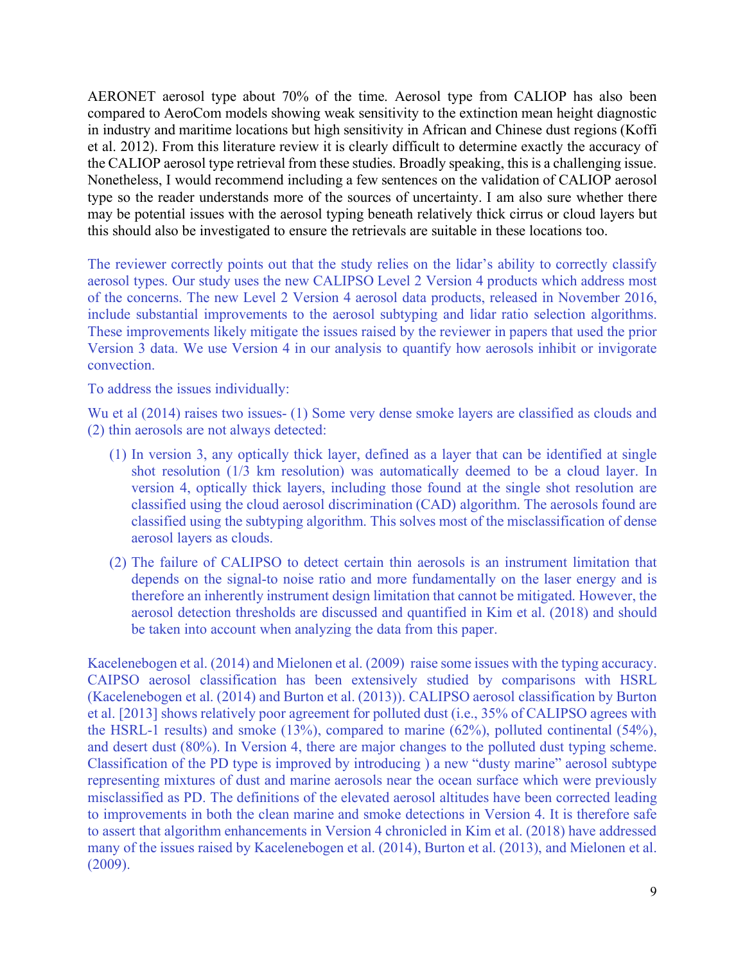AERONET aerosol type about 70% of the time. Aerosol type from CALIOP has also been compared to AeroCom models showing weak sensitivity to the extinction mean height diagnostic in industry and maritime locations but high sensitivity in African and Chinese dust regions (Koffi et al. 2012). From this literature review it is clearly difficult to determine exactly the accuracy of the CALIOP aerosol type retrieval from these studies. Broadly speaking, this is a challenging issue. Nonetheless, I would recommend including a few sentences on the validation of CALIOP aerosol type so the reader understands more of the sources of uncertainty. I am also sure whether there may be potential issues with the aerosol typing beneath relatively thick cirrus or cloud layers but this should also be investigated to ensure the retrievals are suitable in these locations too.

The reviewer correctly points out that the study relies on the lidar's ability to correctly classify aerosol types. Our study uses the new CALIPSO Level 2 Version 4 products which address most of the concerns. The new Level 2 Version 4 aerosol data products, released in November 2016, include substantial improvements to the aerosol subtyping and lidar ratio selection algorithms. These improvements likely mitigate the issues raised by the reviewer in papers that used the prior Version 3 data. We use Version 4 in our analysis to quantify how aerosols inhibit or invigorate convection.

To address the issues individually:

Wu et al (2014) raises two issues- (1) Some very dense smoke layers are classified as clouds and (2) thin aerosols are not always detected:

- (1) In version 3, any optically thick layer, defined as a layer that can be identified at single shot resolution (1/3 km resolution) was automatically deemed to be a cloud layer. In version 4, optically thick layers, including those found at the single shot resolution are classified using the cloud aerosol discrimination (CAD) algorithm. The aerosols found are classified using the subtyping algorithm. This solves most of the misclassification of dense aerosol layers as clouds.
- (2) The failure of CALIPSO to detect certain thin aerosols is an instrument limitation that depends on the signal-to noise ratio and more fundamentally on the laser energy and is therefore an inherently instrument design limitation that cannot be mitigated. However, the aerosol detection thresholds are discussed and quantified in Kim et al. (2018) and should be taken into account when analyzing the data from this paper.

Kacelenebogen et al. (2014) and Mielonen et al. (2009) raise some issues with the typing accuracy. CAIPSO aerosol classification has been extensively studied by comparisons with HSRL (Kacelenebogen et al. (2014) and Burton et al. (2013)). CALIPSO aerosol classification by Burton et al. [2013] shows relatively poor agreement for polluted dust (i.e., 35% of CALIPSO agrees with the HSRL-1 results) and smoke (13%), compared to marine (62%), polluted continental (54%), and desert dust (80%). In Version 4, there are major changes to the polluted dust typing scheme. Classification of the PD type is improved by introducing ) a new "dusty marine" aerosol subtype representing mixtures of dust and marine aerosols near the ocean surface which were previously misclassified as PD. The definitions of the elevated aerosol altitudes have been corrected leading to improvements in both the clean marine and smoke detections in Version 4. It is therefore safe to assert that algorithm enhancements in Version 4 chronicled in Kim et al. (2018) have addressed many of the issues raised by Kacelenebogen et al. (2014), Burton et al. (2013), and Mielonen et al. (2009).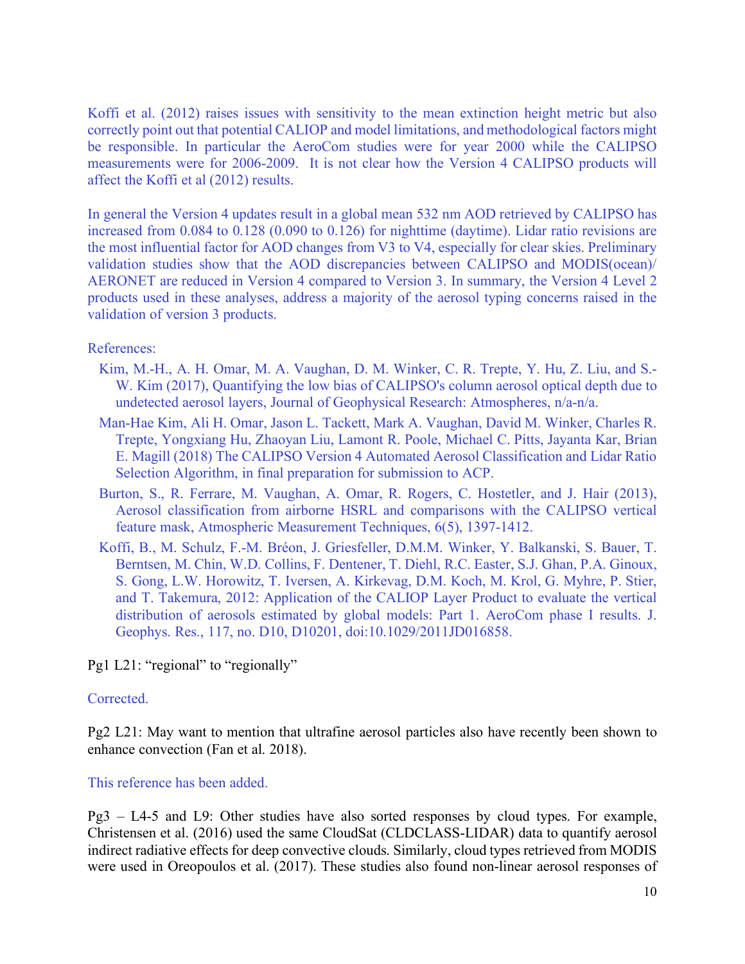Koffi et al. (2012) raises issues with sensitivity to the mean extinction height metric but also correctly point out that potential CALIOP and model limitations, and methodological factors might be responsible. In particular the AeroCom studies were for year 2000 while the CALIPSO measurements were for 2006-2009. It is not clear how the Version 4 CALIPSO products will affect the Koffi et al (2012) results.

In general the Version 4 updates result in a global mean 532 nm AOD retrieved by CALIPSO has increased from 0.084 to 0.128 (0.090 to 0.126) for nighttime (daytime). Lidar ratio revisions are the most influential factor for AOD changes from V3 to V4, especially for clear skies. Preliminary validation studies show that the AOD discrepancies between CALIPSO and MODIS(ocean)/ AERONET are reduced in Version 4 compared to Version 3. In summary, the Version 4 Level 2 products used in these analyses, address a majority of the aerosol typing concerns raised in the validation of version 3 products.

### References:

- Kim, M.-H., A. H. Omar, M. A. Vaughan, D. M. Winker, C. R. Trepte, Y. Hu, Z. Liu, and S.- W. Kim (2017), Quantifying the low bias of CALIPSO's column aerosol optical depth due to undetected aerosol layers, Journal of Geophysical Research: Atmospheres, n/a-n/a.
- Man-Hae Kim, Ali H. Omar, Jason L. Tackett, Mark A. Vaughan, David M. Winker, Charles R. Trepte, Yongxiang Hu, Zhaoyan Liu, Lamont R. Poole, Michael C. Pitts, Jayanta Kar, Brian E. Magill (2018) The CALIPSO Version 4 Automated Aerosol Classification and Lidar Ratio Selection Algorithm, in final preparation for submission to ACP.
- Burton, S., R. Ferrare, M. Vaughan, A. Omar, R. Rogers, C. Hostetler, and J. Hair (2013), Aerosol classification from airborne HSRL and comparisons with the CALIPSO vertical feature mask, Atmospheric Measurement Techniques, 6(5), 1397-1412.
- Koffi, B., M. Schulz, F.-M. Bréon, J. Griesfeller, D.M.M. Winker, Y. Balkanski, S. Bauer, T. Berntsen, M. Chin, W.D. Collins, F. Dentener, T. Diehl, R.C. Easter, S.J. Ghan, P.A. Ginoux, S. Gong, L.W. Horowitz, T. Iversen, A. Kirkevag, D.M. Koch, M. Krol, G. Myhre, P. Stier, and T. Takemura, 2012: Application of the CALIOP Layer Product to evaluate the vertical distribution of aerosols estimated by global models: Part 1. AeroCom phase I results. J. Geophys. Res., 117, no. D10, D10201, doi:10.1029/2011JD016858.

Pg1 L21: "regional" to "regionally"

### Corrected.

Pg2 L21: May want to mention that ultrafine aerosol particles also have recently been shown to enhance convection (Fan et al. 2018).

### This reference has been added.

Pg3 – L4-5 and L9: Other studies have also sorted responses by cloud types. For example, Christensen et al. (2016) used the same CloudSat (CLDCLASS-LIDAR) data to quantify aerosol indirect radiative effects for deep convective clouds. Similarly, cloud types retrieved from MODIS were used in Oreopoulos et al. (2017). These studies also found non-linear aerosol responses of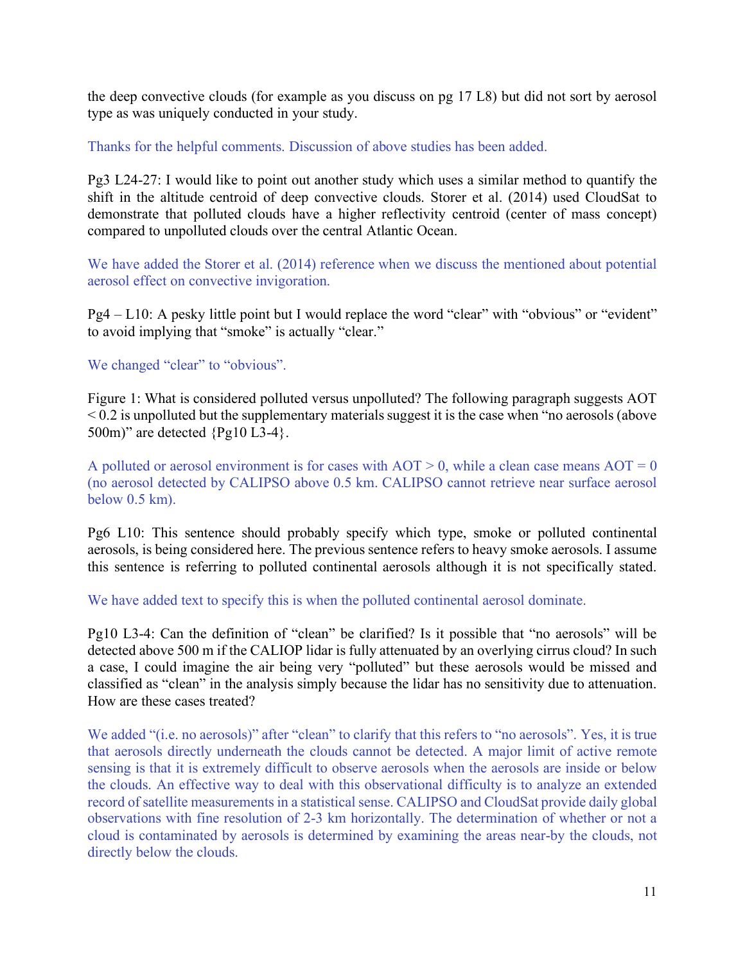the deep convective clouds (for example as you discuss on pg 17 L8) but did not sort by aerosol type as was uniquely conducted in your study.

Thanks for the helpful comments. Discussion of above studies has been added.

Pg3 L24-27: I would like to point out another study which uses a similar method to quantify the shift in the altitude centroid of deep convective clouds. Storer et al. (2014) used CloudSat to demonstrate that polluted clouds have a higher reflectivity centroid (center of mass concept) compared to unpolluted clouds over the central Atlantic Ocean.

We have added the Storer et al. (2014) reference when we discuss the mentioned about potential aerosol effect on convective invigoration.

Pg4 – L10: A pesky little point but I would replace the word "clear" with "obvious" or "evident" to avoid implying that "smoke" is actually "clear."

We changed "clear" to "obvious".

Figure 1: What is considered polluted versus unpolluted? The following paragraph suggests AOT  $\leq$  0.2 is unpolluted but the supplementary materials suggest it is the case when "no aerosols (above 500m)" are detected {Pg10 L3-4}.

A polluted or aerosol environment is for cases with  $AOT > 0$ , while a clean case means  $AOT = 0$ (no aerosol detected by CALIPSO above 0.5 km. CALIPSO cannot retrieve near surface aerosol below 0.5 km).

Pg6 L10: This sentence should probably specify which type, smoke or polluted continental aerosols, is being considered here. The previous sentence refers to heavy smoke aerosols. I assume this sentence is referring to polluted continental aerosols although it is not specifically stated.

We have added text to specify this is when the polluted continental aerosol dominate.

Pg10 L3-4: Can the definition of "clean" be clarified? Is it possible that "no aerosols" will be detected above 500 m if the CALIOP lidar is fully attenuated by an overlying cirrus cloud? In such a case, I could imagine the air being very "polluted" but these aerosols would be missed and classified as "clean" in the analysis simply because the lidar has no sensitivity due to attenuation. How are these cases treated?

We added "(i.e. no aerosols)" after "clean" to clarify that this refers to "no aerosols". Yes, it is true that aerosols directly underneath the clouds cannot be detected. A major limit of active remote sensing is that it is extremely difficult to observe aerosols when the aerosols are inside or below the clouds. An effective way to deal with this observational difficulty is to analyze an extended record ofsatellite measurements in a statistical sense. CALIPSO and CloudSat provide daily global observations with fine resolution of 2-3 km horizontally. The determination of whether or not a cloud is contaminated by aerosols is determined by examining the areas near-by the clouds, not directly below the clouds.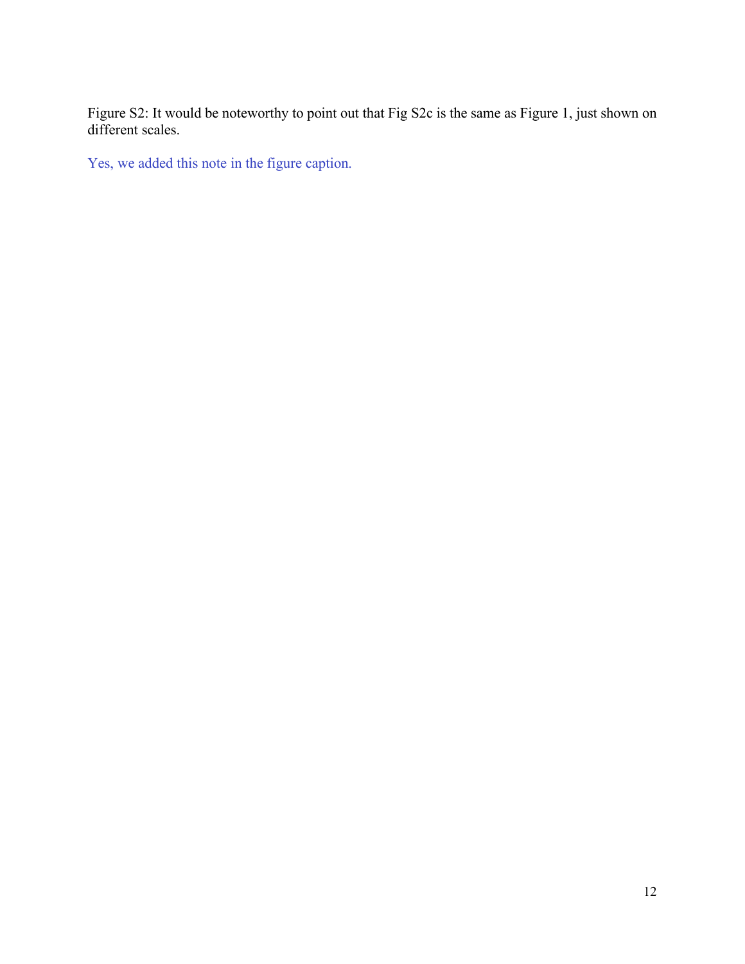Figure S2: It would be noteworthy to point out that Fig S2c is the same as Figure 1, just shown on different scales.

Yes, we added this note in the figure caption.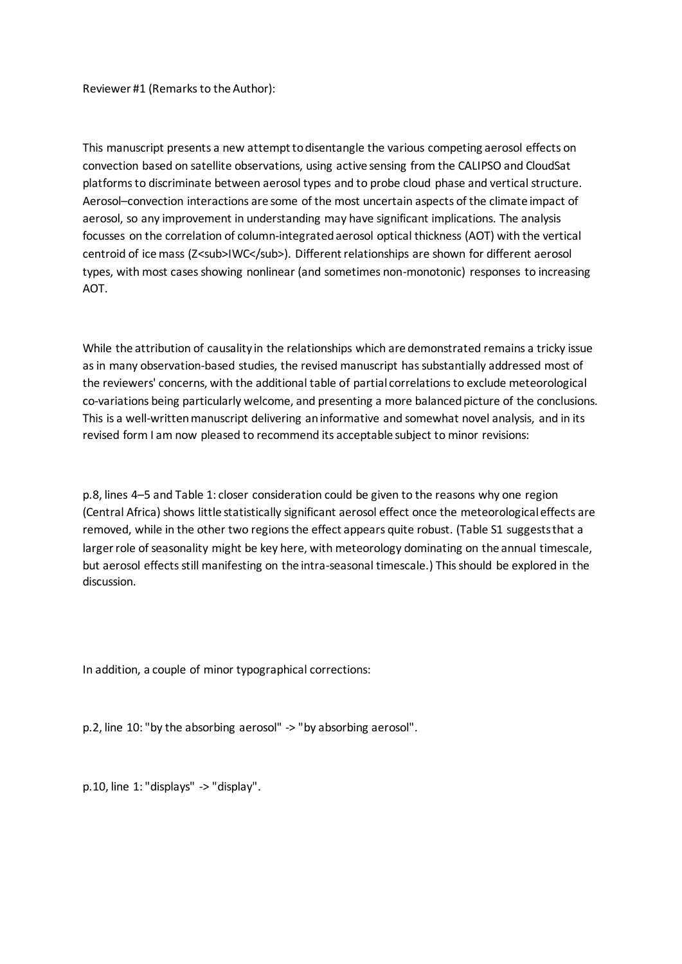Reviewer #1 (Remarks to the Author):

This manuscript presents a new attempt to disentangle the various competing aerosol effects on convection based on satellite observations, using active sensing from the CALIPSO and CloudSat platforms to discriminate between aerosol types and to probe cloud phase and vertical structure. Aerosol–convection interactions are some of the most uncertain aspects of the climate impact of aerosol, so any improvement in understanding may have significant implications. The analysis focusses on the correlation of column-integrated aerosol optical thickness (AOT) with the vertical centroid of ice mass (Z<sub>IWC</sub>). Different relationships are shown for different aerosol types, with most cases showing nonlinear (and sometimes non-monotonic) responses to increasing AOT.

While the attribution of causality in the relationships which are demonstrated remains a tricky issue as in many observation-based studies, the revised manuscript has substantially addressed most of the reviewers' concerns, with the additional table of partial correlations to exclude meteorological co-variations being particularly welcome, and presenting a more balanced picture of the conclusions. This is a well-written manuscript delivering an informative and somewhat novel analysis, and in its revised form I am now pleased to recommend its acceptable subject to minor revisions:

p.8, lines 4–5 and Table 1: closer consideration could be given to the reasons why one region (Central Africa) shows little statistically significant aerosol effect once the meteorological effects are removed, while in the other two regions the effect appears quite robust. (Table S1 suggests that a larger role of seasonality might be key here, with meteorology dominating on the annual timescale, but aerosol effects still manifesting on the intra-seasonal timescale.) This should be explored in the discussion.

In addition, a couple of minor typographical corrections:

p.2, line 10: "by the absorbing aerosol" -> "by absorbing aerosol".

p.10, line 1: "displays" -> "display".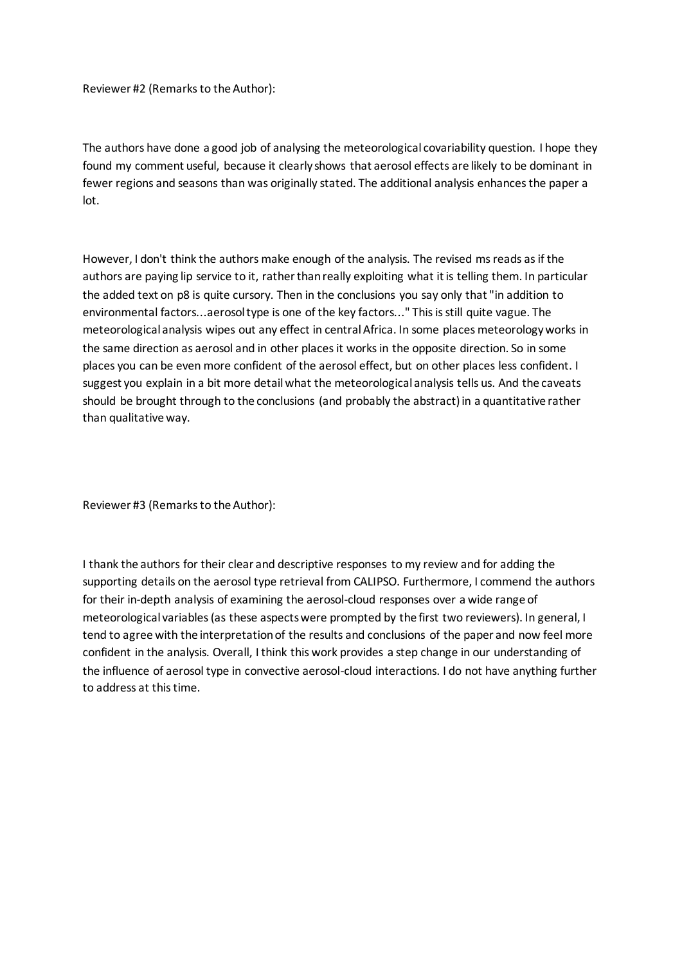Reviewer #2 (Remarks to the Author):

The authors have done a good job of analysing the meteorological covariability question. I hope they found my comment useful, because it clearly shows that aerosol effects are likely to be dominant in fewer regions and seasons than was originally stated. The additional analysis enhances the paper a lot.

However, I don't think the authors make enough of the analysis. The revised ms reads as if the authors are paying lip service to it, rather than really exploiting what it is telling them. In particular the added text on p8 is quite cursory. Then in the conclusions you say only that "in addition to environmental factors...aerosol type is one of the key factors..." This is still quite vague. The meteorological analysis wipes out any effect in central Africa. In some places meteorology works in the same direction as aerosol and in other places it works in the opposite direction. So in some places you can be even more confident of the aerosol effect, but on other places less confident. I suggest you explain in a bit more detail what the meteorological analysis tells us. And the caveats should be brought through to the conclusions (and probably the abstract) in a quantitative rather than qualitative way.

Reviewer #3 (Remarks to the Author):

I thank the authors for their clear and descriptive responses to my review and for adding the supporting details on the aerosol type retrieval from CALIPSO. Furthermore, I commend the authors for their in-depth analysis of examining the aerosol-cloud responses over a wide range of meteorological variables (as these aspects were prompted by the first two reviewers). In general, I tend to agree with the interpretation of the results and conclusions of the paper and now feel more confident in the analysis. Overall, I think this work provides a step change in our understanding of the influence of aerosol type in convective aerosol-cloud interactions. I do not have anything further to address at this time.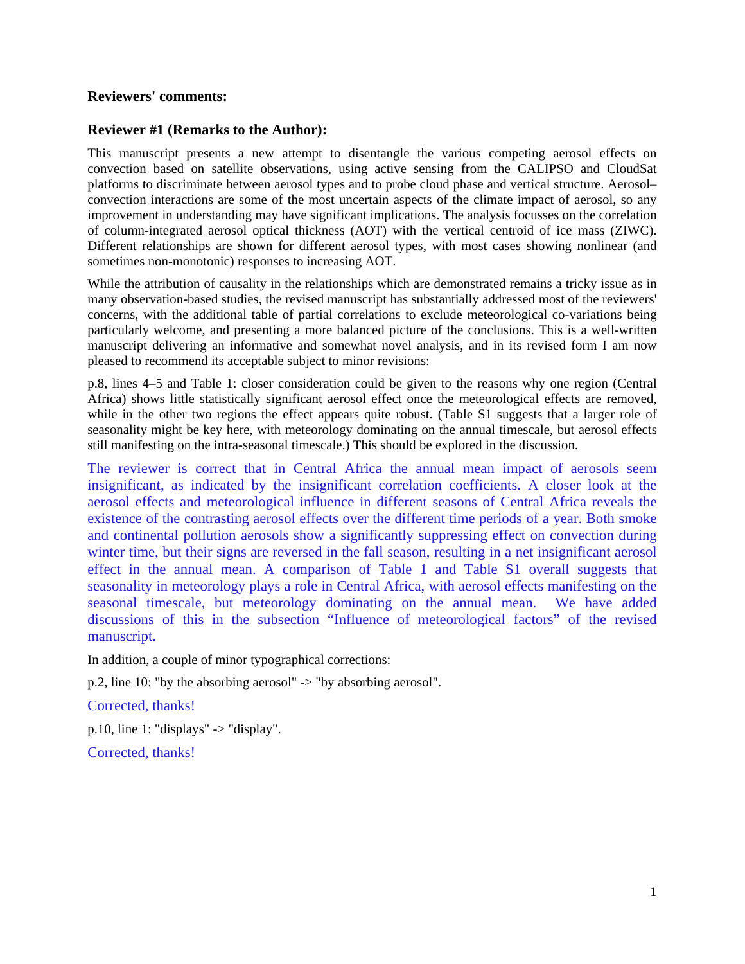#### **Reviewers' comments:**

#### **Reviewer #1 (Remarks to the Author):**

This manuscript presents a new attempt to disentangle the various competing aerosol effects on convection based on satellite observations, using active sensing from the CALIPSO and CloudSat platforms to discriminate between aerosol types and to probe cloud phase and vertical structure. Aerosol– convection interactions are some of the most uncertain aspects of the climate impact of aerosol, so any improvement in understanding may have significant implications. The analysis focusses on the correlation of column-integrated aerosol optical thickness (AOT) with the vertical centroid of ice mass (ZIWC). Different relationships are shown for different aerosol types, with most cases showing nonlinear (and sometimes non-monotonic) responses to increasing AOT.

While the attribution of causality in the relationships which are demonstrated remains a tricky issue as in many observation-based studies, the revised manuscript has substantially addressed most of the reviewers' concerns, with the additional table of partial correlations to exclude meteorological co-variations being particularly welcome, and presenting a more balanced picture of the conclusions. This is a well-written manuscript delivering an informative and somewhat novel analysis, and in its revised form I am now pleased to recommend its acceptable subject to minor revisions:

p.8, lines 4–5 and Table 1: closer consideration could be given to the reasons why one region (Central Africa) shows little statistically significant aerosol effect once the meteorological effects are removed, while in the other two regions the effect appears quite robust. (Table S1 suggests that a larger role of seasonality might be key here, with meteorology dominating on the annual timescale, but aerosol effects still manifesting on the intra-seasonal timescale.) This should be explored in the discussion.

The reviewer is correct that in Central Africa the annual mean impact of aerosols seem insignificant, as indicated by the insignificant correlation coefficients. A closer look at the aerosol effects and meteorological influence in different seasons of Central Africa reveals the existence of the contrasting aerosol effects over the different time periods of a year. Both smoke and continental pollution aerosols show a significantly suppressing effect on convection during winter time, but their signs are reversed in the fall season, resulting in a net insignificant aerosol effect in the annual mean. A comparison of Table 1 and Table S1 overall suggests that seasonality in meteorology plays a role in Central Africa, with aerosol effects manifesting on the seasonal timescale, but meteorology dominating on the annual mean. We have added discussions of this in the subsection "Influence of meteorological factors" of the revised manuscript.

In addition, a couple of minor typographical corrections:

p.2, line 10: "by the absorbing aerosol" -> "by absorbing aerosol".

Corrected, thanks!

p.10, line 1: "displays"  $\rightarrow$  "display".

Corrected, thanks!